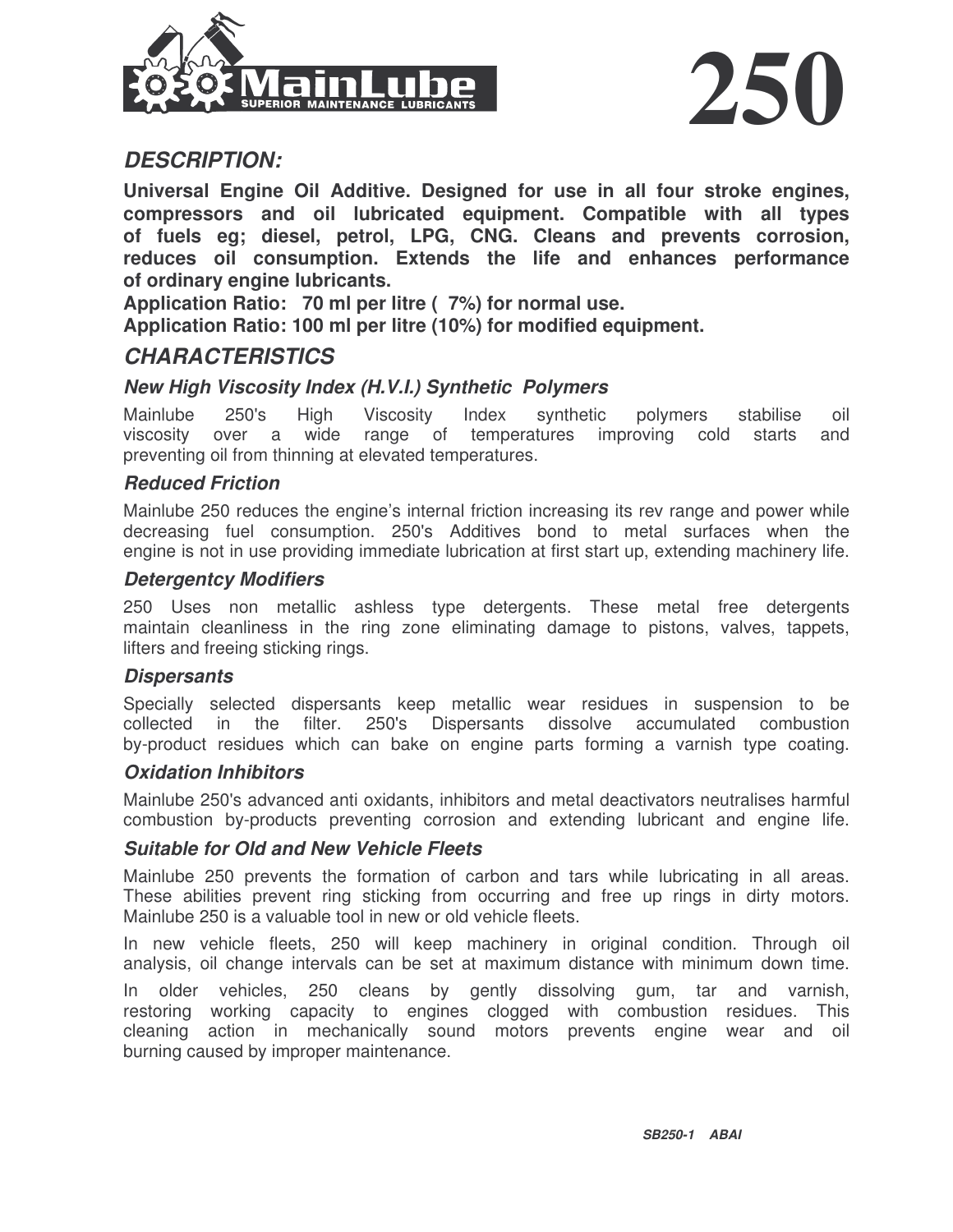



## *DESCRIPTION:*

**Universal Engine Oil Additive. Designed for use in all four stroke engines, compressors and oil lubricated equipment. Compatible with all types of fuels eg; diesel, petrol, LPG, CNG. Cleans and prevents corrosion, reduces oil consumption. Extends the life and enhances performance of ordinary engine lubricants.**

**Application Ratio: 70 ml per litre ( 7%) for normal use.**

**Application Ratio: 100 ml per litre (10%) for modified equipment.**

## *CHARACTERISTICS*

#### *New High Viscosity Index (H.V.I.) Synthetic Polymers*

Mainlube 250's High Viscosity Index synthetic polymers stabilise oil viscosity over a wide range of temperatures improving cold starts and preventing oil from thinning at elevated temperatures.

#### *Reduced Friction*

Mainlube 250 reduces the engine's internal friction increasing its rev range and power while decreasing fuel consumption. 250's Additives bond to metal surfaces when the engine is not in use providing immediate lubrication at first start up, extending machinery life.

#### *Detergentcy Modifiers*

250 Uses non metallic ashless type detergents. These metal free detergents maintain cleanliness in the ring zone eliminating damage to pistons, valves, tappets, lifters and freeing sticking rings.

#### *Dispersants*

Specially selected dispersants keep metallic wear residues in suspension to be collected in the filter. 250's Dispersants dissolve accumulated combustion by-product residues which can bake on engine parts forming a varnish type coating.

#### *Oxidation Inhibitors*

Mainlube 250's advanced anti oxidants, inhibitors and metal deactivators neutralises harmful combustion by-products preventing corrosion and extending lubricant and engine life.

#### *Suitable for Old and New Vehicle Fleets*

Mainlube 250 prevents the formation of carbon and tars while lubricating in all areas. These abilities prevent ring sticking from occurring and free up rings in dirty motors. Mainlube 250 is a valuable tool in new or old vehicle fleets.

In new vehicle fleets, 250 will keep machinery in original condition. Through oil analysis, oil change intervals can be set at maximum distance with minimum down time.

In older vehicles, 250 cleans by gently dissolving gum, tar and varnish, restoring working capacity to engines clogged with combustion residues. This cleaning action in mechanically sound motors prevents engine wear and oil burning caused by improper maintenance.